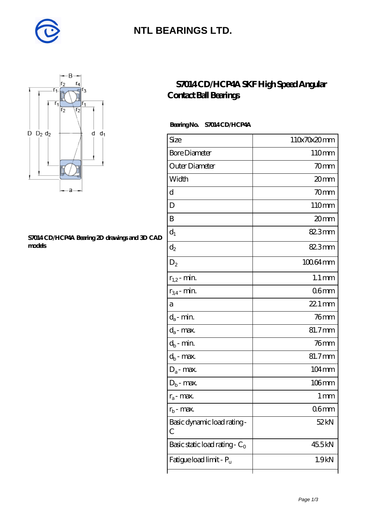

## **[NTL BEARINGS LTD.](https://m.diabetesfriends.net)**



#### **[S7014 CD/HCP4A Bearing 2D drawings and 3D CAD](https://m.diabetesfriends.net/pic-590846.html) [models](https://m.diabetesfriends.net/pic-590846.html)**

### **[S7014 CD/HCP4A SKF High Speed Angular](https://m.diabetesfriends.net/skf-bearing/s7014-cd-hcp4a.html) [Contact Ball Bearings](https://m.diabetesfriends.net/skf-bearing/s7014-cd-hcp4a.html)**

### **Bearing No. S7014 CD/HCP4A**

| Size                             | 110x70x20mm         |
|----------------------------------|---------------------|
| <b>Bore Diameter</b>             | 110mm               |
| Outer Diameter                   | 70mm                |
| Width                            | 20mm                |
| d                                | 70mm                |
| D                                | 110mm               |
| B                                | 20mm                |
| $d_1$                            | 82.3mm              |
| $\mathrm{d}_2$                   | 82.3mm              |
| $D_2$                            | 10064mm             |
| $r_{1,2}$ - min.                 | $1.1 \,\mathrm{mm}$ |
| $r_{34}$ - min.                  | 06 <sub>mm</sub>    |
| а                                | $221$ mm            |
| $d_a$ - min.                     | $76$ mm             |
| $d_a$ - max.                     | 81.7mm              |
| $d_b$ - min.                     | 76 <sub>mm</sub>    |
| $d_b$ - $\max$                   | 81.7mm              |
| $D_a$ - max.                     | $104 \,\mathrm{mm}$ |
| $D_b$ - max.                     | $106$ mm            |
| $r_a$ - max.                     | 1 <sub>mm</sub>     |
| $r_{\rm b}$ - max.               | 06 <sub>mm</sub>    |
| Basic dynamic load rating-<br>С  | 52 kN               |
| Basic static load rating - $C_0$ | 45.5kN              |
| Fatigue load limit - Pu          | 1.9kN               |
|                                  |                     |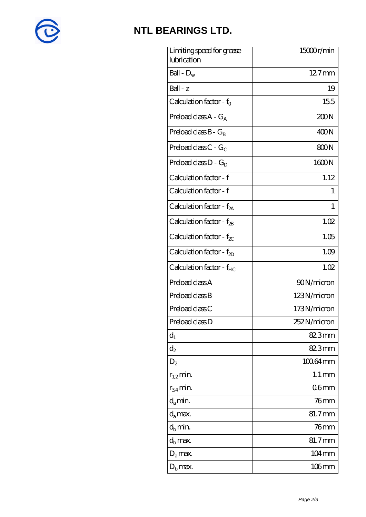

# **[NTL BEARINGS LTD.](https://m.diabetesfriends.net)**

| Limiting speed for grease<br>lubrication | 15000r/min          |
|------------------------------------------|---------------------|
| Ball - $D_w$                             | $127$ mm            |
| $Ball - z$                               | 19                  |
| Calculation factor - f <sub>o</sub>      | 155                 |
| Preload class $A - G_A$                  | 200N                |
| Preload class $B - G_B$                  | 400N                |
| Preload class C - $G_C$                  | 800N                |
| Preload class $D - G_D$                  | 1600N               |
| Calculation factor - f                   | 1.12                |
| Calculation factor - f                   | 1                   |
| Calculation factor - $f_{2A}$            | 1                   |
| Calculation factor - f <sub>2B</sub>     | 1.02                |
| Calculation factor - $f_{\chi}$          | 1.05                |
| Calculation factor - $f_{2D}$            | 1.09                |
| Calculation factor - f <sub>HC</sub>     | 1.02                |
| Preload class A                          | 90N/micron          |
| Preload class B                          | 123N/micron         |
| Preload class C                          | 173N/micron         |
| Preload class D                          | 252N/micron         |
| $d_1$                                    | 82.3mm              |
| $\mathrm{d}_2$                           | 82.3mm              |
| $D_{2}$                                  | 100.64mm            |
| $r_{1,2}$ min.                           | $1.1 \,\mathrm{mm}$ |
| $r_{34}$ min.                            | 06 <sub>mm</sub>    |
| $d_a$ min.                               | 76 mm               |
| $d_a$ max.                               | 81.7mm              |
| $d_h$ min.                               | $76$ mm             |
| $d_h$ max.                               | 81.7mm              |
| $D_a$ max.                               | 104mm               |
| $D_{\rm b}$ max.                         | $106$ mm            |